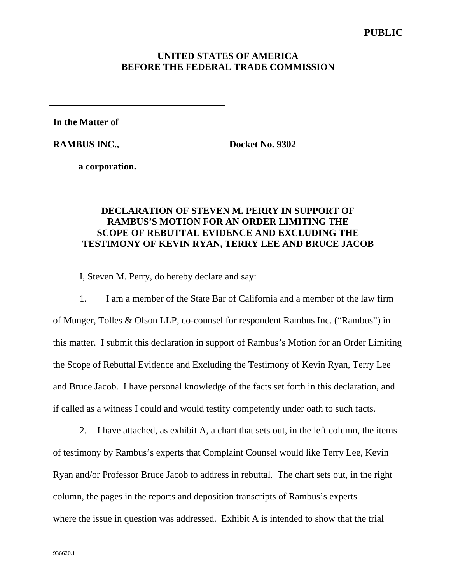#### **UNITED STATES OF AMERICA BEFORE THE FEDERAL TRADE COMMISSION**

**In the Matter of**

**RAMBUS INC.,**

**Docket No. 9302**

**a corporation.**

## **DECLARATION OF STEVEN M. PERRY IN SUPPORT OF RAMBUS'S MOTION FOR AN ORDER LIMITING THE SCOPE OF REBUTTAL EVIDENCE AND EXCLUDING THE TESTIMONY OF KEVIN RYAN, TERRY LEE AND BRUCE JACOB**

I, Steven M. Perry, do hereby declare and say:

1. I am a member of the State Bar of California and a member of the law firm

of Munger, Tolles & Olson LLP, co-counsel for respondent Rambus Inc. ("Rambus") in this matter. I submit this declaration in support of Rambus's Motion for an Order Limiting the Scope of Rebuttal Evidence and Excluding the Testimony of Kevin Ryan, Terry Lee and Bruce Jacob. I have personal knowledge of the facts set forth in this declaration, and if called as a witness I could and would testify competently under oath to such facts.

2. I have attached, as exhibit A, a chart that sets out, in the left column, the items of testimony by Rambus's experts that Complaint Counsel would like Terry Lee, Kevin Ryan and/or Professor Bruce Jacob to address in rebuttal. The chart sets out, in the right column, the pages in the reports and deposition transcripts of Rambus's experts where the issue in question was addressed. Exhibit A is intended to show that the trial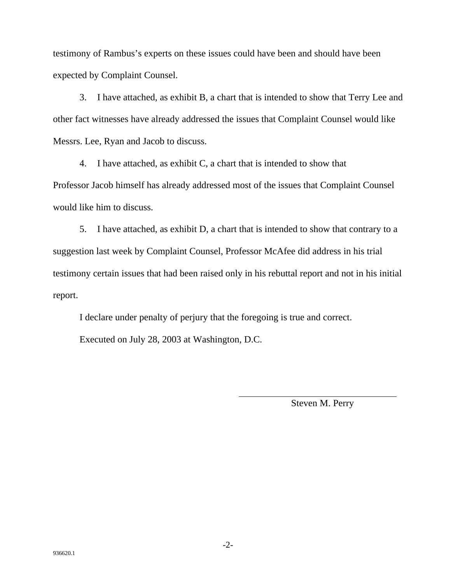testimony of Rambus's experts on these issues could have been and should have been expected by Complaint Counsel.

3. I have attached, as exhibit B, a chart that is intended to show that Terry Lee and other fact witnesses have already addressed the issues that Complaint Counsel would like Messrs. Lee, Ryan and Jacob to discuss.

4. I have attached, as exhibit C, a chart that is intended to show that Professor Jacob himself has already addressed most of the issues that Complaint Counsel would like him to discuss.

5. I have attached, as exhibit D, a chart that is intended to show that contrary to a suggestion last week by Complaint Counsel, Professor McAfee did address in his trial testimony certain issues that had been raised only in his rebuttal report and not in his initial report.

I declare under penalty of perjury that the foregoing is true and correct. Executed on July 28, 2003 at Washington, D.C.

 $\overline{a}$ 

Steven M. Perry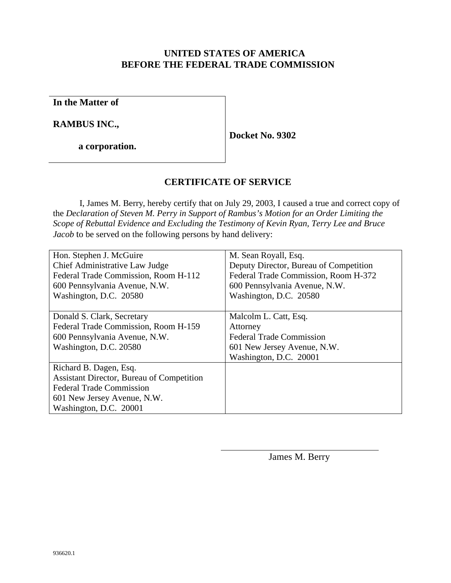## **UNITED STATES OF AMERICA BEFORE THE FEDERAL TRADE COMMISSION**

**In the Matter of**

**RAMBUS INC.,**

**a corporation.**

**Docket No. 9302**

# **CERTIFICATE OF SERVICE**

I, James M. Berry, hereby certify that on July 29, 2003, I caused a true and correct copy of the *Declaration of Steven M. Perry in Support of Rambus's Motion for an Order Limiting the Scope of Rebuttal Evidence and Excluding the Testimony of Kevin Ryan, Terry Lee and Bruce Jacob* to be served on the following persons by hand delivery:

| Hon. Stephen J. McGuire                          | M. Sean Royall, Esq.                   |
|--------------------------------------------------|----------------------------------------|
| Chief Administrative Law Judge                   | Deputy Director, Bureau of Competition |
| Federal Trade Commission, Room H-112             | Federal Trade Commission, Room H-372   |
| 600 Pennsylvania Avenue, N.W.                    | 600 Pennsylvania Avenue, N.W.          |
| Washington, D.C. 20580                           | Washington, D.C. 20580                 |
|                                                  |                                        |
| Donald S. Clark, Secretary                       | Malcolm L. Catt, Esq.                  |
| Federal Trade Commission, Room H-159             | Attorney                               |
| 600 Pennsylvania Avenue, N.W.                    | <b>Federal Trade Commission</b>        |
| Washington, D.C. 20580                           | 601 New Jersey Avenue, N.W.            |
|                                                  | Washington, D.C. 20001                 |
| Richard B. Dagen, Esq.                           |                                        |
| <b>Assistant Director, Bureau of Competition</b> |                                        |
| <b>Federal Trade Commission</b>                  |                                        |
| 601 New Jersey Avenue, N.W.                      |                                        |
| Washington, D.C. 20001                           |                                        |

 $\overline{\phantom{a}}$ 

James M. Berry